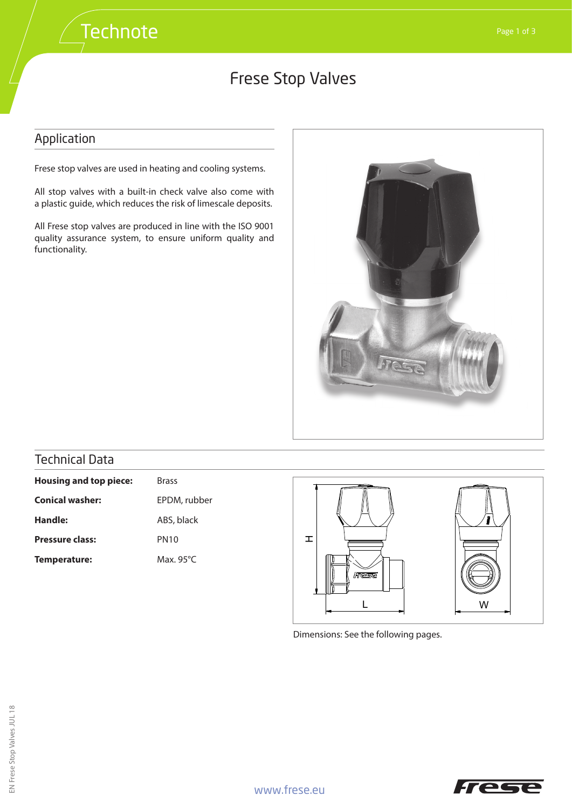## Frese Stop Valves

#### Application

Frese stop valves are used in heating and cooling systems.

All stop valves with a built-in check valve also come with a plastic guide, which reduces the risk of limescale deposits.

All Frese stop valves are produced in line with the ISO 9001 quality assurance system, to ensure uniform quality and functionality.



### Technical Data

| <b>Housing and top piece:</b> | <b>Brass</b>        |  |
|-------------------------------|---------------------|--|
| <b>Conical washer:</b>        | EPDM, rubber        |  |
| Handle:                       | ABS, black          |  |
| <b>Pressure class:</b>        | <b>PN10</b>         |  |
| Temperature:                  | Max. 95 $\degree$ C |  |



Dimensions: See the following pages.

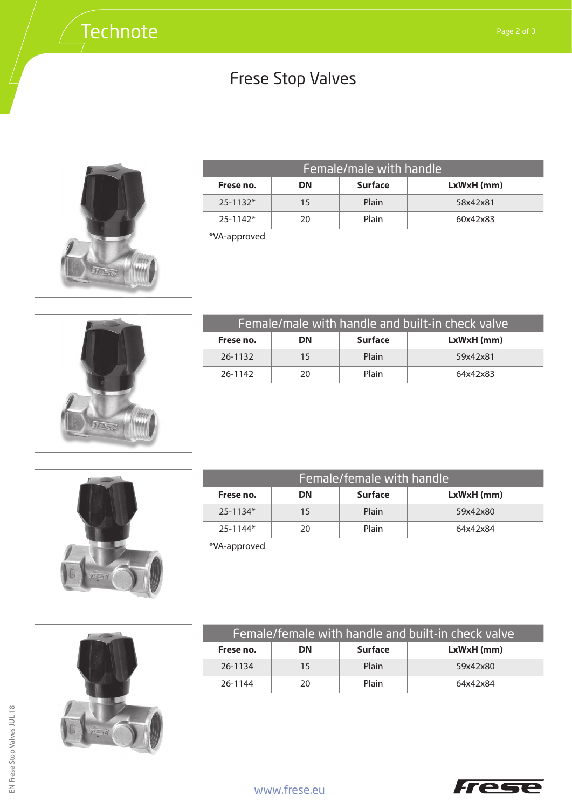# Frese Stop Valves



| Female/male with handle |    |                |              |
|-------------------------|----|----------------|--------------|
| Frese no.               | DN | <b>Surface</b> | $LxWxH$ (mm) |
| $25 - 1132*$            | 15 | Plain          | 58x42x81     |
| $25 - 1142*$            | 20 | Plain          | 60x42x83     |

\*VA-approved



| Female/male with handle and built-in check valve |    |                |              |
|--------------------------------------------------|----|----------------|--------------|
| Frese no.                                        | DΝ | <b>Surface</b> | $LxWxH$ (mm) |
| 26-1132                                          | 15 | Plain          | 59x42x81     |
| 26-1142                                          | 20 | Plain          | 64x42x83     |



| Female/female with handle |    |                |              |
|---------------------------|----|----------------|--------------|
| Frese no.                 | DN | <b>Surface</b> | $LxWxH$ (mm) |
| $25 - 1134*$              | 15 | Plain          | 59x42x80     |
| $25 - 1144*$              | 20 | Plain          | 64x42x84     |

\*VA-approved



| Female/female with handle and built-in check valve |    |                |              |
|----------------------------------------------------|----|----------------|--------------|
| Frese no.                                          | DΝ | <b>Surface</b> | $LxWxH$ (mm) |
| 26-1134                                            | 15 | Plain          | 59x42x80     |
| 26-1144                                            | 20 | Plain          | 64x42x84     |